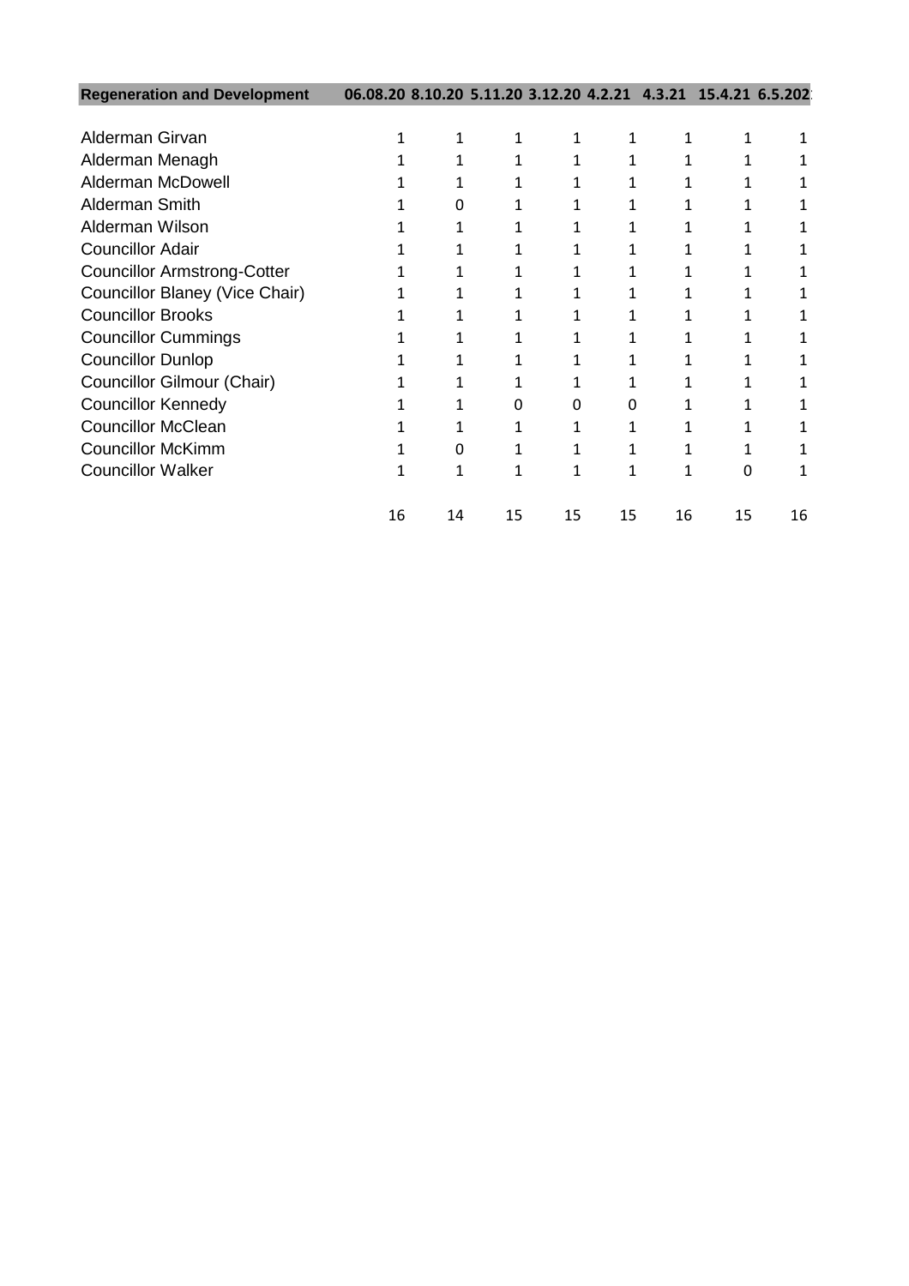| <b>Regeneration and Development</b> | 06.08.20 8.10.20 5.11.20 3.12.20 4.2.21 |    |    |    |    | 4.3.21 |    | 15.4.21 6.5.202 |
|-------------------------------------|-----------------------------------------|----|----|----|----|--------|----|-----------------|
|                                     |                                         |    |    |    |    |        |    |                 |
| Alderman Girvan                     |                                         |    |    |    |    |        |    |                 |
| Alderman Menagh                     |                                         |    |    |    |    |        |    |                 |
| Alderman McDowell                   |                                         |    |    |    |    |        |    |                 |
| <b>Alderman Smith</b>               |                                         | 0  |    |    |    |        |    |                 |
| Alderman Wilson                     |                                         |    |    |    |    |        |    |                 |
| <b>Councillor Adair</b>             |                                         |    |    |    |    |        |    |                 |
| <b>Councillor Armstrong-Cotter</b>  |                                         |    |    |    |    |        |    |                 |
| Councillor Blaney (Vice Chair)      |                                         |    |    |    |    |        |    |                 |
| <b>Councillor Brooks</b>            |                                         |    |    |    |    |        |    |                 |
| <b>Councillor Cummings</b>          |                                         |    |    |    |    |        |    |                 |
| <b>Councillor Dunlop</b>            |                                         |    |    |    |    |        |    |                 |
| Councillor Gilmour (Chair)          |                                         |    |    |    |    |        |    |                 |
| <b>Councillor Kennedy</b>           |                                         |    | 0  | U  | o  |        |    |                 |
| <b>Councillor McClean</b>           |                                         |    |    |    |    |        |    |                 |
| <b>Councillor McKimm</b>            |                                         | 0  |    |    |    |        |    |                 |
| <b>Councillor Walker</b>            |                                         | 1  | 1  |    |    | 1      | 0  |                 |
|                                     | 16                                      | 14 | 15 | 15 | 15 | 16     | 15 | 16              |